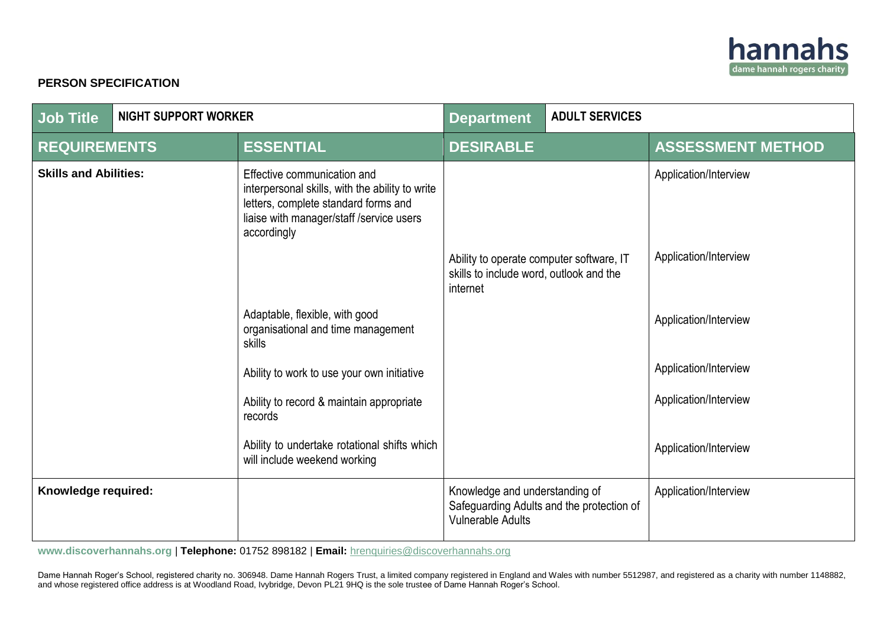

## **PERSON SPECIFICATION**

| <b>Job Title</b>             | <b>NIGHT SUPPORT WORKER</b> |                                                                                                                                                                                    | <b>Department</b>                                                                               | <b>ADULT SERVICES</b>                     |                          |
|------------------------------|-----------------------------|------------------------------------------------------------------------------------------------------------------------------------------------------------------------------------|-------------------------------------------------------------------------------------------------|-------------------------------------------|--------------------------|
| <b>REQUIREMENTS</b>          |                             | <b>ESSENTIAL</b>                                                                                                                                                                   | <b>DESIRABLE</b>                                                                                |                                           | <b>ASSESSMENT METHOD</b> |
| <b>Skills and Abilities:</b> |                             | Effective communication and<br>interpersonal skills, with the ability to write<br>letters, complete standard forms and<br>liaise with manager/staff / service users<br>accordingly |                                                                                                 |                                           | Application/Interview    |
|                              |                             |                                                                                                                                                                                    | Ability to operate computer software, IT<br>skills to include word, outlook and the<br>internet |                                           | Application/Interview    |
|                              |                             | Adaptable, flexible, with good<br>organisational and time management<br>skills                                                                                                     |                                                                                                 |                                           | Application/Interview    |
|                              |                             | Ability to work to use your own initiative                                                                                                                                         |                                                                                                 |                                           | Application/Interview    |
|                              |                             | Ability to record & maintain appropriate<br>records                                                                                                                                |                                                                                                 |                                           | Application/Interview    |
|                              |                             | Ability to undertake rotational shifts which<br>will include weekend working                                                                                                       |                                                                                                 |                                           | Application/Interview    |
| Knowledge required:          |                             |                                                                                                                                                                                    | Knowledge and understanding of<br><b>Vulnerable Adults</b>                                      | Safeguarding Adults and the protection of | Application/Interview    |

**[www.discoverhannahs.org](http://www.discoverhannahs.org/)** | **Telephone:** 01752 898182 | **Email:** [hrenquiries@discoverhannahs.org](mailto:enquiries@discoverhannahs.org)

Dame Hannah Roger's School, registered charity no. 306948. Dame Hannah Rogers Trust, a limited company registered in England and Wales with number 5512987, and registered as a charity with number 1148882, and whose registered office address is at Woodland Road, Ivybridge, Devon PL21 9HQ is the sole trustee of Dame Hannah Roger's School.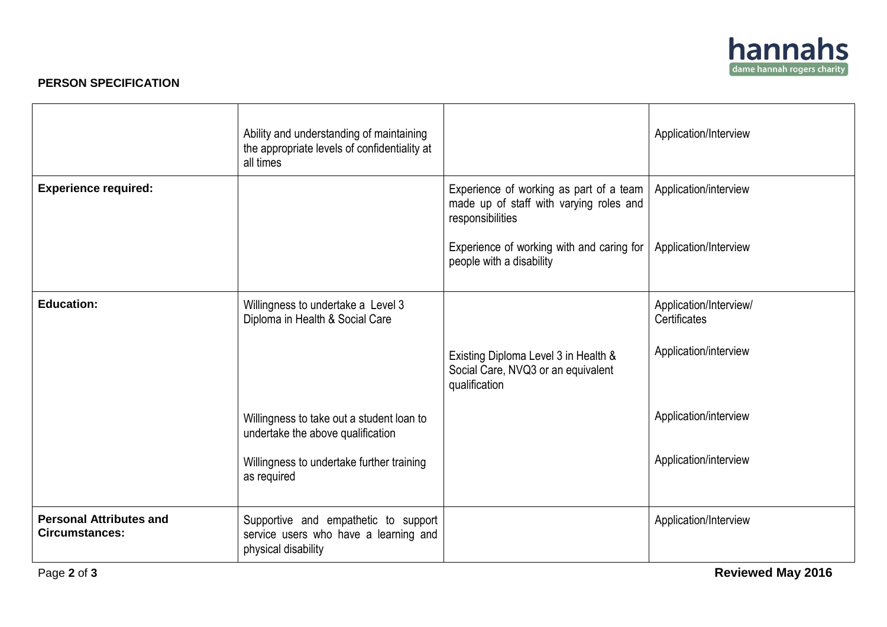

## **PERSON SPECIFICATION**

|                                                         | Ability and understanding of maintaining<br>the appropriate levels of confidentiality at<br>all times |                                                                                                        | Application/Interview                  |
|---------------------------------------------------------|-------------------------------------------------------------------------------------------------------|--------------------------------------------------------------------------------------------------------|----------------------------------------|
| <b>Experience required:</b>                             |                                                                                                       | Experience of working as part of a team<br>made up of staff with varying roles and<br>responsibilities | Application/interview                  |
|                                                         |                                                                                                       | Experience of working with and caring for<br>people with a disability                                  | Application/Interview                  |
| <b>Education:</b>                                       | Willingness to undertake a Level 3<br>Diploma in Health & Social Care                                 |                                                                                                        | Application/Interview/<br>Certificates |
|                                                         |                                                                                                       | Existing Diploma Level 3 in Health &<br>Social Care, NVQ3 or an equivalent<br>qualification            | Application/interview                  |
|                                                         | Willingness to take out a student loan to<br>undertake the above qualification                        |                                                                                                        | Application/interview                  |
|                                                         | Willingness to undertake further training<br>as required                                              |                                                                                                        | Application/interview                  |
| <b>Personal Attributes and</b><br><b>Circumstances:</b> | Supportive and empathetic to support<br>service users who have a learning and<br>physical disability  |                                                                                                        | Application/Interview                  |